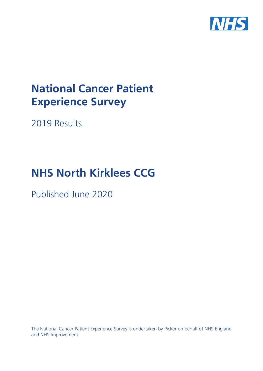

# **National Cancer Patient Experience Survey**

2019 Results

# **NHS North Kirklees CCG**

Published June 2020

The National Cancer Patient Experience Survey is undertaken by Picker on behalf of NHS England and NHS Improvement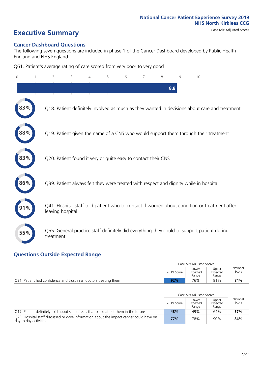# **Executive Summary** Case Mix Adjusted scores

### **Cancer Dashboard Questions**

The following seven questions are included in phase 1 of the Cancer Dashboard developed by Public Health England and NHS England:

Q61. Patient's average rating of care scored from very poor to very good

| $\Omega$ | $\overline{2}$   | 3                                                             | 4 | 5 | 6 | 7 | 8   | 9 | 10                                                                                            |
|----------|------------------|---------------------------------------------------------------|---|---|---|---|-----|---|-----------------------------------------------------------------------------------------------|
|          |                  |                                                               |   |   |   |   | 8.8 |   |                                                                                               |
|          |                  |                                                               |   |   |   |   |     |   | Q18. Patient definitely involved as much as they wanted in decisions about care and treatment |
| $88\%$   |                  |                                                               |   |   |   |   |     |   | Q19. Patient given the name of a CNS who would support them through their treatment           |
| 83%      |                  | Q20. Patient found it very or quite easy to contact their CNS |   |   |   |   |     |   |                                                                                               |
| 86%      |                  |                                                               |   |   |   |   |     |   | Q39. Patient always felt they were treated with respect and dignity while in hospital         |
|          | leaving hospital |                                                               |   |   |   |   |     |   | Q41. Hospital staff told patient who to contact if worried about condition or treatment after |
| 55%      | treatment        |                                                               |   |   |   |   |     |   | Q55. General practice staff definitely did everything they could to support patient during    |

### **Questions Outside Expected Range**

|                                                                    |            | Case Mix Adiusted Scores   |                            |                   |
|--------------------------------------------------------------------|------------|----------------------------|----------------------------|-------------------|
|                                                                    | 2019 Score | Lower<br>Expected<br>Range | Upper<br>Expected<br>Range | National<br>Score |
| Q31. Patient had confidence and trust in all doctors treating them | 92%        | 76%                        | 91%                        | 84%               |

|                                                                                                                  |            | Case Mix Adjusted Scores   |                            |                   |
|------------------------------------------------------------------------------------------------------------------|------------|----------------------------|----------------------------|-------------------|
|                                                                                                                  | 2019 Score | Lower<br>Expected<br>Range | Upper<br>Expected<br>Range | National<br>Score |
| [O17. Patient definitely told about side effects that could affect them in the future                            | 48%        | 49%                        | 64%                        | 57%               |
| Q23. Hospital staff discussed or gave information about the impact cancer could have on<br>day to day activities | 77%        | 78%                        | 90%                        | 84%               |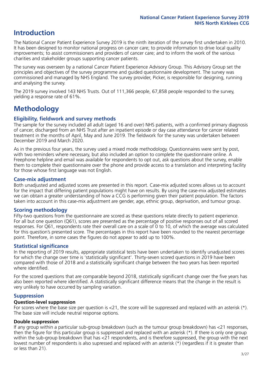## **Introduction**

The National Cancer Patient Experience Survey 2019 is the ninth iteration of the survey first undertaken in 2010. It has been designed to monitor national progress on cancer care; to provide information to drive local quality improvements; to assist commissioners and providers of cancer care; and to inform the work of the various charities and stakeholder groups supporting cancer patients.

The survey was overseen by a national Cancer Patient Experience Advisory Group. This Advisory Group set the principles and objectives of the survey programme and guided questionnaire development. The survey was commissioned and managed by NHS England. The survey provider, Picker, is responsible for designing, running and analysing the survey.

The 2019 survey involved 143 NHS Trusts. Out of 111,366 people, 67,858 people responded to the survey, yielding a response rate of 61%.

# **Methodology**

### **Eligibility, fieldwork and survey methods**

The sample for the survey included all adult (aged 16 and over) NHS patients, with a confirmed primary diagnosis of cancer, discharged from an NHS Trust after an inpatient episode or day case attendance for cancer related treatment in the months of April, May and June 2019. The fieldwork for the survey was undertaken between December 2019 and March 2020.

As in the previous four years, the survey used a mixed mode methodology. Questionnaires were sent by post, with two reminders where necessary, but also included an option to complete the questionnaire online. A Freephone helpline and email was available for respondents to opt out, ask questions about the survey, enable them to complete their questionnaire over the phone and provide access to a translation and interpreting facility for those whose first language was not English.

### **Case-mix adjustment**

Both unadjusted and adjusted scores are presented in this report. Case-mix adjusted scores allows us to account for the impact that differing patient populations might have on results. By using the case-mix adjusted estimates we can obtain a greater understanding of how a CCG is performing given their patient population. The factors taken into account in this case-mix adjustment are gender, age, ethnic group, deprivation, and tumour group.

### **Scoring methodology**

Fifty-two questions from the questionnaire are scored as these questions relate directly to patient experience. For all but one question (Q61), scores are presented as the percentage of positive responses out of all scored responses. For Q61, respondents rate their overall care on a scale of 0 to 10, of which the average was calculated for this question's presented score. The percentages in this report have been rounded to the nearest percentage point. Therefore, in some cases the figures do not appear to add up to 100%.

### **Statistical significance**

In the reporting of 2019 results, appropriate statistical tests have been undertaken to identify unadjusted scores for which the change over time is 'statistically significant'. Thirty-seven scored questions in 2019 have been compared with those of 2018 and a statistically significant change between the two years has been reported where identified.

For the scored questions that are comparable beyond 2018, statistically significant change over the five years has also been reported where identified. A statistically significant difference means that the change in the result is very unlikely to have occurred by sampling variation.

### **Suppression**

### **Question-level suppression**

For scores where the base size per question is  $<$ 21, the score will be suppressed and replaced with an asterisk (\*). The base size will include neutral response options.

### **Double suppression**

If any group within a particular sub-group breakdown (such as the tumour group breakdown) has <21 responses, then the figure for this particular group is suppressed and replaced with an asterisk (\*). If there is only one group within the sub-group breakdown that has <21 respondents, and is therefore suppressed, the group with the next lowest number of respondents is also supressed and replaced with an asterisk (\*) (regardless if it is greater than or less than 21).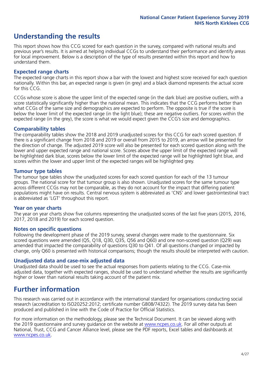## **Understanding the results**

This report shows how this CCG scored for each question in the survey, compared with national results and previous year's results. It is aimed at helping individual CCGs to understand their performance and identify areas for local improvement. Below is a description of the type of results presented within this report and how to understand them.

### **Expected range charts**

The expected range charts in this report show a bar with the lowest and highest score received for each question nationally. Within this bar, an expected range is given (in grey) and a black diamond represents the actual score for this CCG.

CCGs whose score is above the upper limit of the expected range (in the dark blue) are positive outliers, with a score statistically significantly higher than the national mean. This indicates that the CCG performs better than what CCGs of the same size and demographics are expected to perform. The opposite is true if the score is below the lower limit of the expected range (in the light blue); these are negative outliers. For scores within the expected range (in the grey), the score is what we would expect given the CCG's size and demographics.

### **Comparability tables**

The comparability tables show the 2018 and 2019 unadjusted scores for this CCG for each scored question. If there is a significant change from 2018 and 2019 or overall from 2015 to 2019, an arrow will be presented for the direction of change. The adjusted 2019 score will also be presented for each scored question along with the lower and upper expected range and national score. Scores above the upper limit of the expected range will be highlighted dark blue, scores below the lower limit of the expected range will be highlighted light blue, and scores within the lower and upper limit of the expected ranges will be highlighted grey.

### **Tumour type tables**

The tumour type tables show the unadjusted scores for each scored question for each of the 13 tumour groups. The national score for that tumour group is also shown. Unadjusted scores for the same tumour type across different CCGs may not be comparable, as they do not account for the impact that differing patient populations might have on results. Central nervous system is abbreviated as 'CNS' and lower gastrointestinal tract is abbreviated as 'LGT' throughout this report.

### **Year on year charts**

The year on year charts show five columns representing the unadjusted scores of the last five years (2015, 2016, 2017, 2018 and 2019) for each scored question.

### **Notes on specific questions**

Following the development phase of the 2019 survey, several changes were made to the questionnaire. Six scored questions were amended (Q5, Q18, Q30, Q35, Q56 and Q60) and one non-scored question (Q29) was amended that impacted the comparability of questions Q30 to Q41. Of all questions changed or impacted by change, only Q60 is presented with historical comparisons; though the results should be interpreted with caution.

### **Unadjusted data and case-mix adjusted data**

Unadjusted data should be used to see the actual responses from patients relating to the CCG. Case-mix adjusted data, together with expected ranges, should be used to understand whether the results are significantly higher or lower than national results taking account of the patient mix.

### **Further information**

This research was carried out in accordance with the international standard for organisations conducting social research (accreditation to ISO20252:2012; certificate number GB08/74322). The 2019 survey data has been produced and published in line with the Code of Practice for Official Statistics.

For more information on the methodology, please see the Technical Document. It can be viewed along with the 2019 questionnaire and survey quidance on the website at [www.ncpes.co.uk](https://www.ncpes.co.uk/supporting-documents). For all other outputs at National, Trust, CCG and Cancer Alliance level, please see the PDF reports, Excel tables and dashboards at [www.ncpes.co.uk.](https://www.ncpes.co.uk/current-results)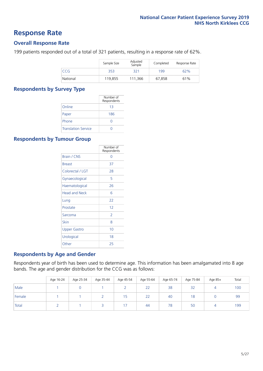### **Response Rate**

### **Overall Response Rate**

199 patients responded out of a total of 321 patients, resulting in a response rate of 62%.

|          | Sample Size | Adjusted<br>Sample | Completed | Response Rate |
|----------|-------------|--------------------|-----------|---------------|
| CCG      | 353         | 321                | 199       | 62%           |
| National | 119,855     | 111.366            | 67,858    | 61%           |

### **Respondents by Survey Type**

|                            | Number of<br>Respondents |
|----------------------------|--------------------------|
| Online                     | 13                       |
| Paper                      | 186                      |
| Phone                      | $\left( \right)$         |
| <b>Translation Service</b> |                          |

### **Respondents by Tumour Group**

|                      | Number of<br>Respondents |
|----------------------|--------------------------|
| <b>Brain / CNS</b>   | ∩                        |
| <b>Breast</b>        | 37                       |
| Colorectal / LGT     | 28                       |
| Gynaecological       | 5                        |
| Haematological       | 26                       |
| <b>Head and Neck</b> | 6                        |
| Lung                 | 22                       |
| Prostate             | 12                       |
| Sarcoma              | $\mathcal{P}$            |
| Skin                 | 8                        |
| <b>Upper Gastro</b>  | 10                       |
| Urological           | 18                       |
| Other                | 25                       |

### **Respondents by Age and Gender**

Respondents year of birth has been used to determine age. This information has been amalgamated into 8 age bands. The age and gender distribution for the CCG was as follows:

|        | Age 16-24 | Age 25-34 | Age 35-44 | Age 45-54 | Age 55-64 | Age 65-74 | Age 75-84 | Age 85+ | Total |
|--------|-----------|-----------|-----------|-----------|-----------|-----------|-----------|---------|-------|
| Male   |           |           |           |           | 22        | 38        | 32        | 4       | 100   |
| Female |           |           |           | 15        | 22        | 40        | 18        |         | 99    |
| Total  |           |           |           | 7         | 44        | 78        | 50        |         | 199   |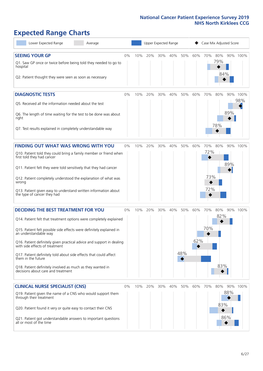# **Expected Range Charts**

| Lower Expected Range<br>Average                                                                                                                                                                                                                                                                                                                                                                                                                                                                                             |    |     | Upper Expected Range |     |     |            |            |                          | Case Mix Adjusted Score |            |                 |
|-----------------------------------------------------------------------------------------------------------------------------------------------------------------------------------------------------------------------------------------------------------------------------------------------------------------------------------------------------------------------------------------------------------------------------------------------------------------------------------------------------------------------------|----|-----|----------------------|-----|-----|------------|------------|--------------------------|-------------------------|------------|-----------------|
| <b>SEEING YOUR GP</b><br>Q1. Saw GP once or twice before being told they needed to go to<br>hospital<br>Q2. Patient thought they were seen as soon as necessary                                                                                                                                                                                                                                                                                                                                                             | 0% | 10% | 20%                  | 30% | 40% | 50%        | 60%        | 70%                      | 80%<br>79%<br>84%       |            | 90% 100%        |
| <b>DIAGNOSTIC TESTS</b><br>Q5. Received all the information needed about the test<br>Q6. The length of time waiting for the test to be done was about<br>right<br>Q7. Test results explained in completely understandable way                                                                                                                                                                                                                                                                                               | 0% | 10% | 20%                  | 30% | 40% | 50%        | 60%        | 70%                      | 80%<br>78%              | 89%        | 90% 100%<br>98% |
| <b>FINDING OUT WHAT WAS WRONG WITH YOU</b><br>Q10. Patient told they could bring a family member or friend when<br>first told they had cancer<br>Q11. Patient felt they were told sensitively that they had cancer<br>Q12. Patient completely understood the explanation of what was<br>wrong<br>Q13. Patient given easy to understand written information about<br>the type of cancer they had                                                                                                                             | 0% | 10% | 20%                  | 30% | 40% | 50%        | 60%        | 70%<br>72%<br>73%<br>72% | 80%                     | 89%        | 90% 100%        |
| <b>DECIDING THE BEST TREATMENT FOR YOU</b><br>Q14. Patient felt that treatment options were completely explained<br>Q15. Patient felt possible side effects were definitely explained in<br>an understandable way<br>Q16. Patient definitely given practical advice and support in dealing<br>with side effects of treatment<br>Q17. Patient definitely told about side effects that could affect<br>them in the future<br>Q18. Patient definitely involved as much as they wanted in<br>decisions about care and treatment | 0% | 10% | 20%                  | 30% | 40% | 50%<br>48% | 60%<br>62% | 70%<br>70%               | 80%<br>82%<br>83%       |            | 90% 100%        |
| <b>CLINICAL NURSE SPECIALIST (CNS)</b><br>Q19. Patient given the name of a CNS who would support them<br>through their treatment<br>Q20. Patient found it very or quite easy to contact their CNS<br>Q21. Patient got understandable answers to important questions<br>all or most of the time                                                                                                                                                                                                                              | 0% |     | 10% 20%              | 30% | 40% | 50%        | 60%        | 70%                      | 80%<br>83%<br>86%       | 90%<br>88% | 100%            |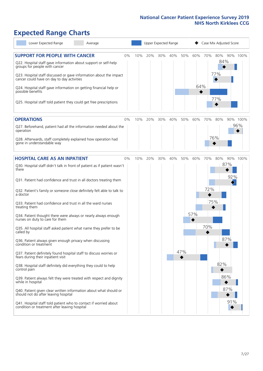# **Expected Range Charts**

| Lower Expected Range<br>Average                                                                                                                                                                                                                                                                                                                                                                                               |    |     | Upper Expected Range |     |     |     |            |            | Case Mix Adjusted Score  |                 |
|-------------------------------------------------------------------------------------------------------------------------------------------------------------------------------------------------------------------------------------------------------------------------------------------------------------------------------------------------------------------------------------------------------------------------------|----|-----|----------------------|-----|-----|-----|------------|------------|--------------------------|-----------------|
| <b>SUPPORT FOR PEOPLE WITH CANCER</b><br>Q22. Hospital staff gave information about support or self-help<br>groups for people with cancer<br>Q23. Hospital staff discussed or gave information about the impact<br>cancer could have on day to day activities<br>Q24. Hospital staff gave information on getting financial help or<br>possible benefits<br>Q25. Hospital staff told patient they could get free prescriptions | 0% | 10% | 20%                  | 30% | 40% | 50% | 60%<br>64% | 70%        | 80%<br>84%<br>77%<br>77% | 90% 100%        |
| <b>OPERATIONS</b><br>Q27. Beforehand, patient had all the information needed about the<br>operation<br>Q28. Afterwards, staff completely explained how operation had<br>gone in understandable way                                                                                                                                                                                                                            | 0% | 10% | 20%                  | 30% | 40% | 50% | 60%        | 70%        | 80%<br>76%               | 90% 100%<br>96% |
| <b>HOSPITAL CARE AS AN INPATIENT</b><br>Q30. Hospital staff didn't talk in front of patient as if patient wasn't<br>there                                                                                                                                                                                                                                                                                                     | 0% | 10% | 20%                  | 30% | 40% | 50% | 60%        | 70%        | 80%<br>87%               | 90% 100%        |
| Q31. Patient had confidence and trust in all doctors treating them<br>Q32. Patient's family or someone close definitely felt able to talk to<br>a doctor<br>Q33. Patient had confidence and trust in all the ward nurses                                                                                                                                                                                                      |    |     |                      |     |     |     |            | 72%<br>75% |                          | 92%             |
| treating them<br>Q34. Patient thought there were always or nearly always enough<br>nurses on duty to care for them<br>Q35. All hospital staff asked patient what name they prefer to be<br>called by                                                                                                                                                                                                                          |    |     |                      |     |     |     | 57%        | 70%        |                          |                 |
| Q36. Patient always given enough privacy when discussing<br>condition or treatment<br>Q37. Patient definitely found hospital staff to discuss worries or<br>fears during their inpatient visit<br>Q38. Hospital staff definitely did everything they could to help                                                                                                                                                            |    |     |                      |     |     | 47% |            |            | 87%<br>82%               |                 |
| control pain<br>Q39. Patient always felt they were treated with respect and dignity<br>while in hospital<br>Q40. Patient given clear written information about what should or<br>should not do after leaving hospital                                                                                                                                                                                                         |    |     |                      |     |     |     |            |            | 86%<br>87%               |                 |
| Q41. Hospital staff told patient who to contact if worried about<br>condition or treatment after leaving hospital                                                                                                                                                                                                                                                                                                             |    |     |                      |     |     |     |            |            |                          | 91%             |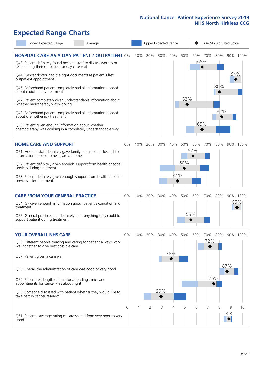# **Expected Range Charts**

| Lower Expected Range<br>Average                                                                                                                                                |    |     |     |     | Upper Expected Range |     |     | Case Mix Adjusted Score |     |     |          |
|--------------------------------------------------------------------------------------------------------------------------------------------------------------------------------|----|-----|-----|-----|----------------------|-----|-----|-------------------------|-----|-----|----------|
| <b>HOSPITAL CARE AS A DAY PATIENT / OUTPATIENT 0%</b><br>Q43. Patient definitely found hospital staff to discuss worries or<br>fears during their outpatient or day case visit |    | 10% | 20% | 30% | 40%                  | 50% | 60% | 70%<br>65%              | 80% |     | 90% 100% |
| Q44. Cancer doctor had the right documents at patient's last<br>outpatient appointment                                                                                         |    |     |     |     |                      |     |     |                         |     | 94% |          |
| Q46. Beforehand patient completely had all information needed<br>about radiotherapy treatment                                                                                  |    |     |     |     |                      |     |     |                         | 80% |     |          |
| Q47. Patient completely given understandable information about<br>whether radiotherapy was working                                                                             |    |     |     |     |                      | 52% |     |                         |     |     |          |
| Q49. Beforehand patient completely had all information needed<br>about chemotherapy treatment                                                                                  |    |     |     |     |                      |     |     |                         | 82% |     |          |
| Q50. Patient given enough information about whether<br>chemotherapy was working in a completely understandable way                                                             |    |     |     |     |                      |     |     | 65%                     |     |     |          |
| <b>HOME CARE AND SUPPORT</b>                                                                                                                                                   | 0% | 10% | 20% | 30% | 40%                  | 50% | 60% | 70%                     | 80% |     | 90% 100% |
| Q51. Hospital staff definitely gave family or someone close all the<br>information needed to help care at home                                                                 |    |     |     |     |                      |     | 57% |                         |     |     |          |
| Q52. Patient definitely given enough support from health or social<br>services during treatment                                                                                |    |     |     |     |                      | 50% |     |                         |     |     |          |
| Q53. Patient definitely given enough support from health or social<br>services after treatment                                                                                 |    |     |     |     | 44%                  |     |     |                         |     |     |          |
| <b>CARE FROM YOUR GENERAL PRACTICE</b>                                                                                                                                         | 0% | 10% | 20% | 30% | 40%                  | 50% | 60% | 70%                     | 80% |     | 90% 100% |
| Q54. GP given enough information about patient's condition and<br>treatment                                                                                                    |    |     |     |     |                      |     |     |                         |     |     | 95%      |
| Q55. General practice staff definitely did everything they could to<br>support patient during treatment                                                                        |    |     |     |     |                      |     | 55% |                         |     |     |          |
| <b>YOUR OVERALL NHS CARE</b>                                                                                                                                                   | 0% | 10% | 20% | 30% | 40%                  | 50% | 60% | 70%                     | 80% |     | 90% 100% |
| Q56. Different people treating and caring for patient always work<br>well together to give best possible care                                                                  |    |     |     |     | 38%                  |     |     | 72%                     |     |     |          |
| Q57. Patient given a care plan                                                                                                                                                 |    |     |     |     |                      |     |     |                         |     | 87% |          |
| Q58. Overall the administration of care was good or very good                                                                                                                  |    |     |     |     |                      |     |     |                         | 75% |     |          |
| Q59. Patient felt length of time for attending clinics and<br>appointments for cancer was about right                                                                          |    |     |     |     |                      |     |     |                         |     |     |          |
| Q60. Someone discussed with patient whether they would like to<br>take part in cancer research                                                                                 |    |     |     | 29% |                      |     |     |                         |     |     |          |
|                                                                                                                                                                                | 0  |     | 2   | 3   | 4                    | 5   | 6   | 7                       | 8   | 9   | 10       |
| Q61. Patient's average rating of care scored from very poor to very<br>good                                                                                                    |    |     |     |     |                      |     |     |                         |     | 8.8 |          |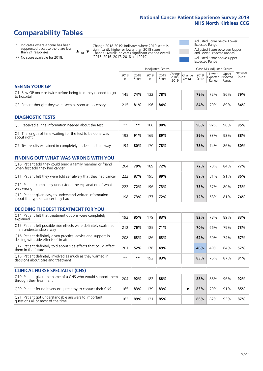# **Comparability Tables**

\* Indicates where a score has been suppressed because there are less than 21 responses.

\*\* No score available for 2018.

or  $\blacktriangledown$  $\blacktriangle$ 

Change 2018-2019: Indicates where 2019 score is significantly higher or lower than 2018 score Change Overall: Indicates significant change overall (2015, 2016, 2017, 2018 and 2019).

Adjusted Score below Lower Expected Range Adjusted Score between Upper and Lower Expected Ranges Adjusted Score above Upper Expected Range

|                                                                             | Case Mix Adjusted Scores<br>Unadjusted Scores |               |           |               |                         |                   |               |                |                                            |                   |
|-----------------------------------------------------------------------------|-----------------------------------------------|---------------|-----------|---------------|-------------------------|-------------------|---------------|----------------|--------------------------------------------|-------------------|
|                                                                             | 2018<br>n                                     | 2018<br>Score | 2019<br>n | 2019<br>Score | Change<br>2018-<br>2019 | Change<br>Overall | 2019<br>Score | Lower<br>Range | Upper<br><b>Expected Expected</b><br>Range | National<br>Score |
| <b>SEEING YOUR GP</b>                                                       |                                               |               |           |               |                         |                   |               |                |                                            |                   |
| Q1. Saw GP once or twice before being told they needed to go<br>to hospital | 145                                           | 74%           | 132       | 78%           |                         |                   | 79%           | 72%            | 86%                                        | 79%               |
| Q2. Patient thought they were seen as soon as necessary                     | 215                                           | 81%           | 196       | 84%           |                         |                   | 84%           | 79%            | 89%                                        | 84%               |
| <b>DIAGNOSTIC TESTS</b>                                                     |                                               |               |           |               |                         |                   |               |                |                                            |                   |

| -----------------                                                         |      |     |     |     |  |  |     |     |     |     |  |  |  |
|---------------------------------------------------------------------------|------|-----|-----|-----|--|--|-----|-----|-----|-----|--|--|--|
| O5. Received all the information needed about the test                    | $**$ | **  | 68  | 98% |  |  | 98% | 92% | 98% | 95% |  |  |  |
| Q6. The length of time waiting for the test to be done was<br>about right | 193  | 91% | 169 | 89% |  |  | 89% | 83% | 93% | 88% |  |  |  |
| Q7. Test results explained in completely understandable way               | 194  | 80% | 70  | 78% |  |  | 78% | 74% | 86% | 80% |  |  |  |

#### **FINDING OUT WHAT WAS WRONG WITH YOU** Q10. Patient told they could bring a family member or friend Q10. Patient told they could bring a family member or friend  $204$  **79%** 189 **72% 72% 72%** 70% 84% **77%** Q11. Patient felt they were told sensitively that they had cancer 222 **87%** 195 **89% 89%** 81% 91% **86%** Q12. Patient completely understood the explanation of what was wrong 222 **72%** 196 **73% 73%** 67% 80% **73%** Q13. Patient given easy to understand written information Q13. Patient given easy to understand written information  $198$  **73%** 177 **72%** 178 **72%** 68% 81% **74%**

| <b>DECIDING THE BEST TREATMENT FOR YOU</b>                                                              |      |       |     |     |     |     |     |     |
|---------------------------------------------------------------------------------------------------------|------|-------|-----|-----|-----|-----|-----|-----|
| Q14. Patient felt that treatment options were completely<br>explained                                   | 192  | 85%   | 179 | 83% | 82% | 78% | 89% | 83% |
| Q15. Patient felt possible side effects were definitely explained<br>in an understandable way           | 212  | 76%   | 185 | 71% | 70% | 66% | 79% | 73% |
| Q16. Patient definitely given practical advice and support in<br>dealing with side effects of treatment | 208  | 63%   | 186 | 63% | 62% | 60% | 74% | 67% |
| Q17. Patient definitely told about side effects that could affect<br>them in the future                 | 201  | 52%   | 176 | 49% | 48% | 49% | 64% | 57% |
| Q18. Patient definitely involved as much as they wanted in<br>decisions about care and treatment        | $**$ | $* *$ | 192 | 83% | 83% | 76% | 87% | 81% |

| <b>CLINICAL NURSE SPECIALIST (CNS)</b>                                                    |     |     |     |     |  |     |     |     |     |
|-------------------------------------------------------------------------------------------|-----|-----|-----|-----|--|-----|-----|-----|-----|
| Q19. Patient given the name of a CNS who would support them<br>through their treatment    | 204 | 92% | 182 | 88% |  | 88% | 88% | 96% | 92% |
| Q20. Patient found it very or quite easy to contact their CNS                             | 165 | 83% | 139 | 83% |  | 83% | 79% | 91% | 85% |
| Q21. Patient got understandable answers to important<br>questions all or most of the time | 163 | 89% | 131 | 85% |  | 86% | 82% | 93% | 87% |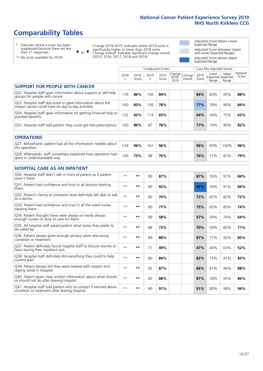# **Comparability Tables**

\* Indicates where a score has been suppressed because there are less than 21 responses.

\*\* No score available for 2018.

 $\triangle$  or  $\nabla$ 

Change 2018-2019: Indicates where 2019 score is significantly higher or lower than 2018 score Change Overall: Indicates significant change overall (2015, 2016, 2017, 2018 and 2019).

Adjusted Score below Lower Expected Range Adjusted Score between Upper and Lower Expected Ranges Adjusted Score above Upper Expected Range

|                                                                                                                   |              |               | <b>Unadjusted Scores</b> |               |                         |                   |               | Case Mix Adjusted Scores            |                |                   |
|-------------------------------------------------------------------------------------------------------------------|--------------|---------------|--------------------------|---------------|-------------------------|-------------------|---------------|-------------------------------------|----------------|-------------------|
|                                                                                                                   | 2018<br>n    | 2018<br>Score | 2019<br>n                | 2019<br>Score | Change<br>2018-<br>2019 | Change<br>Overall | 2019<br>Score | Lower<br>Expected Expected<br>Range | Upper<br>Range | National<br>Score |
| <b>SUPPORT FOR PEOPLE WITH CANCER</b>                                                                             |              |               |                          |               |                         |                   |               |                                     |                |                   |
| Q22. Hospital staff gave information about support or self-help<br>groups for people with cancer                  | 179          | 86%           | 156                      | 84%           |                         |                   | 84%           | 83%                                 | 93%            | 88%               |
| Q23. Hospital staff discussed or gave information about the<br>impact cancer could have on day to day activities  | 160          | 83%           | 126                      | 78%           |                         |                   | 77%           | 78%                                 | 90%            | 84%               |
| Q24. Hospital staff gave information on getting financial help or<br>possible benefits                            | 122          | 62%           | 114                      | 65%           |                         |                   | 64%           | 54%                                 | 72%            | 63%               |
| Q25. Hospital staff told patient they could get free prescriptions                                                | 100          | 80%           | 87                       | 78%           |                         |                   | 77%           | 74%                                 | 90%            | 82%               |
| <b>OPERATIONS</b>                                                                                                 |              |               |                          |               |                         |                   |               |                                     |                |                   |
| Q27. Beforehand, patient had all the information needed about<br>the operation                                    | 134          | 96%           | 101                      | 96%           |                         |                   | 96%           | 93%                                 | 100%           | 96%               |
| Q28. Afterwards, staff completely explained how operation had<br>gone in understandable way                       | 130          | 75%           | 98                       | 76%           |                         |                   | 76%           | 71%                                 | 87%            | 79%               |
| <b>HOSPITAL CARE AS AN INPATIENT</b>                                                                              |              |               |                          |               |                         |                   |               |                                     |                |                   |
| Q30. Hospital staff didn't talk in front of patient as if patient<br>wasn't there                                 | $* *$        | **            | 90                       | 87%           |                         |                   | 87%           | 76%                                 | 91%            | 84%               |
| Q31. Patient had confidence and trust in all doctors treating<br>them                                             | $* *$        | $***$         | 90                       | 92%           |                         |                   | 92%           | 76%                                 | 91%            | 84%               |
| Q32. Patient's family or someone close definitely felt able to talk<br>to a doctor                                | $**$         | $***$         | 80                       | 74%           |                         |                   | 72%           | 62%                                 | 82%            | 72%               |
| Q33. Patient had confidence and trust in all the ward nurses<br>treating them                                     | $**$         | $***$         | 90                       | 77%           |                         |                   | 75%           | 65%                                 | 83%            | 74%               |
| Q34. Patient thought there were always or nearly always<br>enough nurses on duty to care for them                 | $* *$        | $***$         | 89                       | 58%           |                         |                   | 57%           | 54%                                 | 74%            | 64%               |
| Q35. All hospital staff asked patient what name they prefer to<br>be called by                                    | $**$         | $***$         | 88                       | 73%           |                         |                   | 70%           | 59%                                 | 82%            | 71%               |
| Q36. Patient always given enough privacy when discussing<br>condition or treatment                                | $* *$        | $***$         | 89                       | 88%           |                         |                   | 87%           | 77%                                 | 92%            | 85%               |
| Q37. Patient definitely found hospital staff to discuss worries or<br>fears during their inpatient visit          | $**$         | $***$         | 71                       | 49%           |                         |                   | 47%           | 40%                                 | 63%            | 52%               |
| Q38. Hospital staff definitely did everything they could to help<br>control pain                                  | $* *$        | $**$          | 80                       | 84%           |                         |                   | 82%           | 75%                                 | 91%            | 83%               |
| Q39. Patient always felt they were treated with respect and<br>dignity while in hospital                          | $\star\star$ | $***$         | 92                       | 87%           |                         |                   | 86%           | 81%                                 | 94%            | 88%               |
| Q40. Patient given clear written information about what should<br>or should not do after leaving hospital         | $**$         | $***$         | 82                       | 88%           |                         |                   | 87%           | 78%                                 | 93%            | 86%               |
| Q41. Hospital staff told patient who to contact if worried about<br>condition or treatment after leaving hospital | $**$         | **            | 90                       | 91%           |                         |                   | 91%           | 89%                                 | 99%            | 94%               |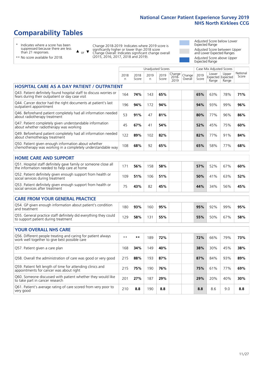# **Comparability Tables**

\* Indicates where a score has been suppressed because there are less than 21 responses.

\*\* No score available for 2018.

 $\triangle$  or  $\nabla$ 

Change 2018-2019: Indicates where 2019 score is significantly higher or lower than 2018 score Change Overall: Indicates significant change overall (2015, 2016, 2017, 2018 and 2019).

Adjusted Score below Lower Expected Range Adjusted Score between Upper and Lower Expected Ranges Adjusted Score above Upper Expected Range

|                                                                                                                       |              |               |            | <b>Unadjusted Scores</b> |                            |                   |               | Case Mix Adjusted Scores            |                |                   |
|-----------------------------------------------------------------------------------------------------------------------|--------------|---------------|------------|--------------------------|----------------------------|-------------------|---------------|-------------------------------------|----------------|-------------------|
|                                                                                                                       | 2018<br>n    | 2018<br>Score | 2019<br>n. | 2019<br>Score            | Change<br>$2018 -$<br>2019 | Change<br>Overall | 2019<br>Score | Lower<br>Expected Expected<br>Range | Upper<br>Range | National<br>Score |
| <b>HOSPITAL CARE AS A DAY PATIENT / OUTPATIENT</b>                                                                    |              |               |            |                          |                            |                   |               |                                     |                |                   |
| Q43. Patient definitely found hospital staff to discuss worries or<br>fears during their outpatient or day case visit | 164          | 74%           | 143        | 65%                      |                            |                   | 65%           | 63%                                 | 78%            | 71%               |
| Q44. Cancer doctor had the right documents at patient's last<br>outpatient appointment                                | 196          | 94%           | 172        | 94%                      |                            |                   | 94%           | 93%                                 | 99%            | 96%               |
| Q46. Beforehand patient completely had all information needed<br>about radiotherapy treatment                         | 53           | 91%           | 47         | 81%                      |                            |                   | 80%           | 77%                                 | 96%            | 86%               |
| Q47. Patient completely given understandable information<br>about whether radiotherapy was working                    | 45           | 67%           | 41         | 54%                      |                            |                   | 52%           | 45%                                 | 75%            | 60%               |
| Q49. Beforehand patient completely had all information needed<br>about chemotherapy treatment                         | 122          | 89%           | 102        | 82%                      |                            |                   | 82%           | 77%                                 | 91%            | 84%               |
| Q50. Patient given enough information about whether<br>chemotherapy was working in a completely understandable way    | 108          | 68%           | 92         | 65%                      |                            |                   | 65%           | 58%                                 | 77%            | 68%               |
| <b>HOME CARE AND SUPPORT</b>                                                                                          |              |               |            |                          |                            |                   |               |                                     |                |                   |
| Q51. Hospital staff definitely gave family or someone close all<br>the information needed to help care at home        | 171          | 56%           | 158        | 58%                      |                            |                   | 57%           | 52%                                 | 67%            | 60%               |
| Q52. Patient definitely given enough support from health or<br>social services during treatment                       | 109          | 51%           | 106        | 51%                      |                            |                   | 50%           | 41%                                 | 63%            | 52%               |
| Q53. Patient definitely given enough support from health or<br>social services after treatment                        | 75           | 43%           | 82         | 45%                      |                            |                   | 44%           | 34%                                 | 56%            | 45%               |
| <b>CARE FROM YOUR GENERAL PRACTICE</b>                                                                                |              |               |            |                          |                            |                   |               |                                     |                |                   |
| Q54. GP given enough information about patient's condition<br>and treatment                                           | 180          | 93%           | 160        | 95%                      |                            |                   | 95%           | 92%                                 | 99%            | 95%               |
| Q55. General practice staff definitely did everything they could<br>to support patient during treatment               | 129          | 58%           | 131        | 55%                      |                            |                   | 55%           | 50%                                 | 67%            | 58%               |
| <b>YOUR OVERALL NHS CARE</b>                                                                                          |              |               |            |                          |                            |                   |               |                                     |                |                   |
| Q56. Different people treating and caring for patient always                                                          |              |               |            |                          |                            |                   |               |                                     |                |                   |
| work well together to give best possible care                                                                         | $\star\star$ | $***$         | 189        | 72%                      |                            |                   | 72%           | 66%                                 | 79%            | 73%               |
| Q57. Patient given a care plan                                                                                        | 168          | 34%           | 149        | 40%                      |                            |                   | 38%           | 30%                                 | 45%            | 38%               |
| Q58. Overall the administration of care was good or very good                                                         | 215          | 88%           | 193        | 87%                      |                            |                   | 87%           | 84%                                 | 93%            | 89%               |
| Q59. Patient felt length of time for attending clinics and<br>appointments for cancer was about right                 | 215          | 75%           | 190        | 76%                      |                            |                   | 75%           | 61%                                 | 77%            | 69%               |
| Q60. Someone discussed with patient whether they would like<br>to take part in cancer research                        | 201          | 27%           | 187        | 29%                      |                            |                   | 29%           | 20%                                 | 40%            | 30%               |
| Q61. Patient's average rating of care scored from very poor to<br>very good                                           | 210          | 8.8           | 190        | 8.8                      |                            |                   | 8.8           | 8.6                                 | 9.0            | 8.8               |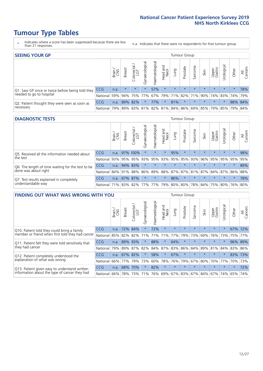- \* Indicates where a score has been suppressed because there are less than 21 responses.
- n.a. Indicates that there were no respondents for that tumour group.

| <b>SEEING YOUR GP</b>                           |            |       |               |                   |                                     |                |                  |                 | Tumour Group |         |                                                 |                 |            |         |                |
|-------------------------------------------------|------------|-------|---------------|-------------------|-------------------------------------|----------------|------------------|-----------------|--------------|---------|-------------------------------------------------|-----------------|------------|---------|----------------|
|                                                 |            | Brain | <b>Breast</b> | Colorectal<br>LGT | $\overline{\sigma}$<br>Gynaecologic | Haematological | Head and<br>Neck | Dung            | Prostate     | Sarcoma | Skin                                            | Upper<br>Gastro | Urological | Other   | All<br>Cancers |
| Q1. Saw GP once or twice before being told they | <b>CCG</b> | n.a.  | $\star$       | $\star$           | $\star$                             | 57%            | $\star$          | $\star$         | $\star$      | $\star$ | $\star$                                         | $\star$         | $\star$    | $\star$ | 78%            |
| needed to go to hospital                        | National   | 59%   |               | 94% 75% 77%       |                                     |                |                  | 67% 79% 71% 82% |              |         | 71% 90% 74% 83% 74% 79%                         |                 |            |         |                |
| Q2. Patient thought they were seen as soon as   | <b>CCG</b> | n.a.  |               | 89% 82%           | $\star$                             | 77%            | $\star$          | 81%             | $\star$      | $\star$ | $\star$                                         | $\star$         | $\star$    | 88% 84% |                |
| necessary                                       | National   | 79%   |               |                   |                                     |                |                  |                 |              |         | 89% 83% 81% 82% 81% 84% 86% 69% 85% 79% 85% 79% |                 |            |         | 84%            |

#### **DIAGNOSTIC TESTS** Tumour Group

|                                                   |                                                              | Brain | Breast | olorectal.<br>LGT<br>Û | Gynaecological | Haematological | Head and<br>Neck | Lung    | Prostate | Sarcoma | Skin                    | Upper<br>Gastro | Jrological | Other   | All<br>Cancers |
|---------------------------------------------------|--------------------------------------------------------------|-------|--------|------------------------|----------------|----------------|------------------|---------|----------|---------|-------------------------|-----------------|------------|---------|----------------|
| O5. Received all the information needed about     | <b>CCG</b>                                                   | n.a.  |        | 97% 100%               |                |                | $\star$          | 95%     | $\star$  | $\star$ | $\star$                 | $\star$         | $\star$    | $\star$ | 98%            |
| $\vert$ the test                                  | National                                                     | 93%   |        | 95% 95%                | 93%            | 95%            | 93%              |         | 95% 95%  | 93%     | 96%                     | 95%             | 95%        | 95%     | 95%            |
| Q6. The length of time waiting for the test to be | <b>CCG</b>                                                   | n.a.  |        | 94% 83%                | $\star$        |                | $\star$          | $\star$ | $\star$  | $\star$ | $\star$                 | $\star$         | $\star$    | $\star$ | 89%            |
| done was about right                              | National 84% 91% 88% 86% 89% 88% 87% 87% 81% 87% 84% 87% 86% |       |        |                        |                |                |                  |         |          |         |                         |                 |            |         | 88%            |
| Q7. Test results explained in completely          | <b>CCG</b>                                                   | n.a.  |        | 67% 87%                | $\star$        | $\star$        | $\star$          | 86%     | $\star$  | $\star$ | $\star$                 | $\star$         | $\star$    | $\star$ | 78%            |
| understandable way                                | National 71% 83% 82% 77% 77% 79% 80% 80%                     |       |        |                        |                |                |                  |         |          |         | 78% 84% 75% 80% 76% 80% |                 |            |         |                |

| <b>FINDING OUT WHAT WAS WRONG WITH YOU</b>        |            |       |               |                                 |                |                |                        |             | Tumour Group |         |         |                 |            |         |                |
|---------------------------------------------------|------------|-------|---------------|---------------------------------|----------------|----------------|------------------------|-------------|--------------|---------|---------|-----------------|------------|---------|----------------|
|                                                   |            | Brain | <b>Breast</b> | ╮<br>olorectal<br>LGT<br>$\cup$ | Gynaecological | Haematological | ad and<br>Neck<br>Head | Lung        | Prostate     | Sarcoma | Skin    | Upper<br>Gastro | Jrological | Other   | All<br>Cancers |
| Q10. Patient told they could bring a family       | <b>CCG</b> | n.a.  | 72%           | 84%                             | $\star$        | 72%            | $\star$                | $\star$     | $\star$      | $\star$ | $\star$ | $\star$         | $\star$    | 67%     | 72%            |
| member or friend when first told they had cancer  | National   | 85%   | 82%           | 82%                             | 71%            | 71%            | 71%                    | 77%         | 79%          | 73%     | 69%     | 76%             | 73%        | 75%     | 77%            |
| Q11. Patient felt they were told sensitively that | <b>CCG</b> | n.a.  | 89%           | 93%                             | $\star$        | 88%            | $\star$                | 64%         | $\star$      | $\star$ | $\star$ | $\star$         | $\star$    |         | 96% 89%        |
| they had cancer                                   | National   | 79%   |               | 89% 87%                         | 82%            |                | 84% 87%                | 83%         | 86%          | 84%     | 89%     |                 | 81% 84%    |         | 83% 86%        |
| Q12. Patient completely understood the            | <b>CCG</b> | n.a.  | 67%           | 82%                             | $\star$        | 58%            | $\star$                | 67%         | $\star$      |         | $\star$ | $\star$         | $\star$    | 83%     | 73%            |
| explanation of what was wrong                     | National   | 66%   | 77%           | 79%                             | 73%            | 60%            | 78%                    | 76%         | 79%          | 67%     | 80%     | 70%             | 77%        | 70%     | 73%            |
| Q13. Patient given easy to understand written     | <b>CCG</b> | n.a.  | 68%           | 70%                             | $\star$        | 82%            | $\star$                | $\star$     | $\star$      | $\star$ | $\star$ | $\star$         | $\star$    | $\star$ | 72%            |
| information about the type of cancer they had     | National   | 66%   | 78%           | 73%                             | 71%            | 76%            |                        | 69% 67% 83% |              |         | 67% 84% | 67%             | 74%        | 65%     | 74%            |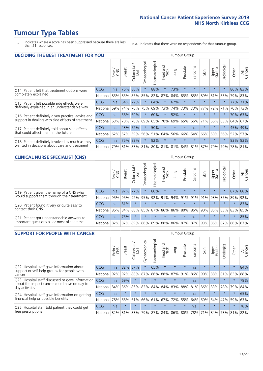\* Indicates where a score has been suppressed because there are less than 21 responses.

n.a. Indicates that there were no respondents for that tumour group.

| <b>DECIDING THE BEST TREATMENT FOR YOU</b>         |          |       |               |                             |                |                |                         |         | <b>Tumour Group</b> |                                     |         |                 |            |       |                |
|----------------------------------------------------|----------|-------|---------------|-----------------------------|----------------|----------------|-------------------------|---------|---------------------|-------------------------------------|---------|-----------------|------------|-------|----------------|
|                                                    |          | Brain | <b>Breast</b> | olorectal.<br>LGT<br>$\cup$ | Gynaecological | Haematological | ead and<br>Neck<br>Head | Lung    | Prostate            | Sarcoma                             | Skin    | Upper<br>Gastro | Jrological | Other | All<br>Cancers |
| Q14. Patient felt that treatment options were      | CCG      | n.a.  | 76%           | 80%                         | $\star$        | 88%            | $\star$                 | 73%     | $\star$             | 大                                   |         | $\star$         | $\star$    | 86%   | 83%            |
| completely explained                               | National | 85%   | 85%           | 85%                         | 85%            | 82%            | 87%                     | 84%     | 83%                 | 83%                                 | 89%     | 81%             | 83%        | 79%   | 83%            |
| Q15. Patient felt possible side effects were       | CCG      | n.a.  | 64%           | 72%                         | $\star$        | 64%            | $\star$                 | 67%     | $\star$             | 大                                   |         | $\star$         | $\star$    |       | 77% 71%        |
| definitely explained in an understandable way      | National | 69%   | 74%           | 76%                         | 75%            | 69%            | 73%                     | 74%     | 73%                 | 73%                                 | 77%     | 72%             | 71%        | 70%   | 73%            |
| Q16. Patient definitely given practical advice and | CCG      | n.a.  | 58%           | 60%                         | $\star$        | 60%            | $\star$                 | 52%     | $\star$             | $\star$                             | $\star$ | $\star$         | $\star$    |       | 70% 63%        |
| support in dealing with side effects of treatment  | National | 63%   | 70%           | 70%                         | 69%            | 65%            | 70%                     | 69%     | 65%                 | 66%                                 | 71%     | 66%             | 63%        | 64%   | 67%            |
| Q17. Patient definitely told about side effects    | CCG      | n.a.  | 43%           | 52%                         | $\star$        | 50%            | $\star$                 | $\star$ | $\star$             | n.a.                                | $\star$ | $\star$         | $\star$    | 45%   | 49%            |
| that could affect them in the future               | National | 62%   | 57%           | 59%                         | 56%            | 51%            | 64%                     | 56%     | 66%                 | 54%                                 | 66%     | 53%             | 56%        | 52%   | 57%            |
| Q18. Patient definitely involved as much as they   | CCG      | n.a.  | 75%           | 82%                         | $\star$        | 92%            | $\star$                 | $\star$ | $\star$             | $\star$                             | $\star$ | $\star$         | $^\star$   |       | 83% 83%        |
| wanted in decisions about care and treatment       | National | 79%   |               |                             |                |                |                         |         |                     | 81% 83% 81% 80% 81% 81% 84% 81% 87% |         | 79%             | 79%        |       | 78% 81%        |

#### **CLINICAL NURSE SPECIALIST (CNS)** Tumour Group

|                                             |            | Brain | Breast | Colorectal<br>LGT | ᢛ<br>Gynaecologic | Haematological  | Head and<br>Neck | Lung          | Prostate | Sarcoma | Skin                        | Upper<br>Gastro | $\sigma$<br>Irologica | Other           | All<br>Cancers |
|---------------------------------------------|------------|-------|--------|-------------------|-------------------|-----------------|------------------|---------------|----------|---------|-----------------------------|-----------------|-----------------------|-----------------|----------------|
| Q19. Patient given the name of a CNS who    | <b>CCG</b> | n.a.  |        | 97% 77%           |                   | 80%             | $\star$          | $\star$       | $\star$  | $\star$ | $\star$                     | $\star$         |                       |                 | 87% 88%        |
| would support them through their treatment  | National   | 95%   | 95%    | 92%               | 95%               | 92%             | 91%              | $ 94\% 91\% $ |          | 91%     | 91%                         | 93%             | 85%                   | 89%             | 92%            |
| Q20. Patient found it very or quite easy to | <b>CCG</b> | n.a.  | 81%    |                   |                   | $\star$         | $\star$          | $\star$       | $\star$  | $\star$ | $\star$                     | $\star$         | $\star$               | $\star$         | 83%            |
| contact their CNS                           | National   | 86%   | 84%    | 88%               | 85%               | 87% 86% 86% 80% |                  |               |          | 86%     | 90%                         | 85%             |                       | 83% 83%         | 85%            |
| Q21. Patient got understandable answers to  | <b>CCG</b> | n.a.  | 75%    | $\star$           | $\star$           | $\star$         | $\star$          | $\star$       | $\star$  | n.a.    | $\star$                     | $\star$         | $\star$               | $\star$         | 85%            |
| important questions all or most of the time | National   | 82%   | 87%    | 89%               |                   |                 |                  |               |          |         | 86% 89% 88% 86% 87% 87% 93% |                 |                       | 86% 87% 86% 87% |                |

| <b>SUPPORT FOR PEOPLE WITH CANCER</b>                                                             |            |       |               |                 |                |                |                         |         | <b>Tumour Group</b> |         |         |                 |            |         |                |
|---------------------------------------------------------------------------------------------------|------------|-------|---------------|-----------------|----------------|----------------|-------------------------|---------|---------------------|---------|---------|-----------------|------------|---------|----------------|
|                                                                                                   |            | Brain | <b>Breast</b> | ╮<br>Colorectal | Gynaecological | Haematological | ead and<br>Neck<br>Head | Lung    | Prostate            | Sarcoma | Skin    | Upper<br>Gastro | Urological | Other   | All<br>Cancers |
| Q22. Hospital staff gave information about<br>support or self-help groups for people with         | CCG        | n.a.  | 82%           | 87%             | $\star$        | 65%            | $\star$                 | $\star$ | $\star$             | n.a.    | $\star$ | $\star$         | $\star$    | $\star$ | 84%            |
| cancer                                                                                            | National   | 92%   | 92%           | 88%             | 87%            | 86%            | 88%                     | 87%     | 91%                 | 86%     | 90%     | 88%             | 81%        | 83%     | 88%            |
| Q23. Hospital staff discussed or gave information<br>about the impact cancer could have on day to | <b>CCG</b> | n.a.  | 69%           | $\star$         | $\star$        | $\star$        | $\star$                 | $\star$ | $\star$             | n.a.    | $\star$ | $\star$         | $\star$    | $\star$ | 78%            |
| day activities                                                                                    | National   | 84%   | 86%           | 85%             | 82%            | 84%            | 84%                     | 83%     | 88%                 | 81%     | 86%     | 83%             | 78%        | 79%     | 84%            |
| Q24. Hospital staff gave information on getting                                                   | <b>CCG</b> | n.a.  | $\star$       | $\star$         | $\star$        | $\star$        | $\star$                 | $\star$ | $\star$             | n.a.    | $\star$ | $\star$         | $\star$    | $\ast$  | 65%            |
| financial help or possible benefits                                                               | National   | 78%   | 68%           | 61%             | 66%            | 61%            | 67%                     | 72%     | 55%                 | 64%     | 60%     | 64%             | 47%        | 59%     | 63%            |
| Q25. Hospital staff told patient they could get                                                   | CCG        | n.a.  | $\star$       | $\star$         | $\star$        | $\star$        | $\star$                 | $\star$ | $\star$             | n.a.    | $\star$ | $\star$         | $\star$    | $\star$ | 78%            |
| free prescriptions                                                                                | National   | 82%   | 81%           | 83%             | 79%            | 87%            | 84%                     | 86%     | 80%                 | 78%     | 71%     | 84%             | 73%        | 81%     | 82%            |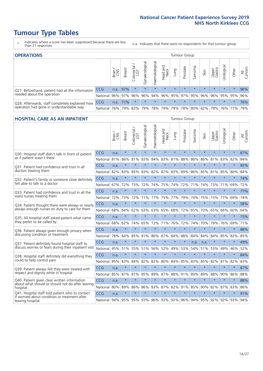- \* Indicates where a score has been suppressed because there are less than 21 responses.
- n.a. Indicates that there were no respondents for that tumour group.

| <b>OPERATIONS</b>                                |              |              |               |            |                |                |                  |         | Tumour Group            |         |         |                 |                                                       |         |                |
|--------------------------------------------------|--------------|--------------|---------------|------------|----------------|----------------|------------------|---------|-------------------------|---------|---------|-----------------|-------------------------------------------------------|---------|----------------|
|                                                  |              | Brain<br>CNS | <b>Breast</b> | Colorectal | Gynaecological | Haematological | Head and<br>Neck | Dung    | Prostate                | Sarcoma | Skin    | Upper<br>Gastro | σ<br>Jrologica                                        | Other   | All<br>Cancers |
| Q27. Beforehand, patient had all the information | <b>CCG</b>   | n.a.         | 97%           | $\star$    | $\star$        | $\star$        | $\star$          | $\star$ | $\star$                 | $\star$ | $\star$ | $\star$         | $\star$                                               | $\star$ | 96%            |
| needed about the operation                       | National 96% |              |               | 97% 96%    | 96%            |                |                  |         | 94% 96% 95% 97% 95% 96% |         |         |                 | 96% 95% 95%                                           |         | 96%            |
| Q28. Afterwards, staff completely explained how  | <b>CCG</b>   | n.a.         | 171%          | $\star$    | $\star$        | $\star$        | $\star$          | $\star$ | $\star$                 | $\star$ | $\star$ | $\star$         | $\star$                                               | $\star$ | 76%            |
| operation had gone in understandable way         | National 76% |              |               | 79% 83%    |                |                |                  |         |                         |         |         |                 | 79%  78%  79%  79%  78%  80%  82%  79%  76%  77%  79% |         |                |

#### **HOSPITAL CARE AS AN INPATIENT** Tumour Group

|                                                                                                  |            | Brain | <b>Breast</b> | $\frac{1}{2}$ Colorectal / | Gynaecological | Haematological  | Head and<br>Neck | Lung    | Prostate | Sarcoma | Skin            | Upper<br>Gastro | Urological | Other   | Cancers<br>$\overline{\overline{z}}$ |
|--------------------------------------------------------------------------------------------------|------------|-------|---------------|----------------------------|----------------|-----------------|------------------|---------|----------|---------|-----------------|-----------------|------------|---------|--------------------------------------|
| Q30. Hospital staff didn't talk in front of patient                                              | CCG        | n.a.  | $\star$       | $\star$                    | $\star$        | $\star$         | $\star$          | $\star$ | $\star$  | $\star$ | $\star$         | $\star$         | $\star$    | $\star$ | 87%                                  |
| as if patient wasn't there                                                                       | National   | 81%   | 86%           | 81%                        | 83%            | 84%             | 83%              | 81%     | 88%      | 86%     | 86%             | 81%             | 83%        | 82%     | 84%                                  |
| 031. Patient had confidence and trust in all                                                     | CCG        | n.a.  | $\star$       | $\star$                    | $\star$        | $\star$         | $\star$          | $\star$ | $\star$  | $\star$ | $\star$         | $\star$         | $\star$    | $\star$ | 92%                                  |
| doctors treating them                                                                            | National   | 82%   | 83%           | 85%                        | 83%            | 82%             |                  | 87% 83% | 89%      | 86%     | 85%             | 81%             | 85%        | 80%     | 84%                                  |
| Q32. Patient's family or someone close definitely                                                | CCG        | n.a.  | $\star$       | $\star$                    | $\star$        | $\star$         | $\star$          | $\star$ | $\star$  | $\star$ | $\star$         | $\star$         | $\star$    | $\star$ | 74%                                  |
| felt able to talk to a doctor                                                                    | National   | 67%   | 72%           | 73%                        | 72%            | 74%             | 75%              | 74%     | 72%      | 71%     | 74%             | 73%             | 71%        | 69%     | 72%                                  |
| Q33. Patient had confidence and trust in all the                                                 | CCG        | n.a.  | $\star$       | $\star$                    | $\star$        | $\star$         | $\star$          | $\star$ | $\star$  | $\star$ | $\star$         | $\star$         | $\star$    | $\star$ | 77%                                  |
| ward nurses treating them                                                                        | National   | 72%   | 73%           | 72%                        |                | 71% 77%         | 75%              | 77%     | 79%      | 74%     | 75%             | 73%             | 77%        | 69%     | 74%                                  |
| Q34. Patient thought there were always or nearly                                                 | CCG        | n.a.  | $\star$       | $\star$                    | $\star$        | $\star$         | $\star$          | $\star$ | $\star$  | $\star$ | $\star$         | $\star$         | $\star$    | $\star$ | 58%                                  |
| always enough nurses on duty to care for them                                                    | National   | 68%   | 64%           | 62%                        | 63%            | 63%             | 65%              | 68%     | 72%      | 65%     | 70%             | 65%             | 66%        | 60%     | 64%                                  |
| Q35. All hospital staff asked patient what name                                                  | CCG        | n.a.  | $\star$       | $\star$                    | $\star$        | $\star$         | $\star$          | $\star$ | $\star$  | $\star$ | $\star$         | $\star$         | $\star$    | $\star$ | 73%                                  |
| they prefer to be called by                                                                      | National   | 68%   | 62%           | 74%                        | 65%            | 72%             | 71%              | 76%     | 72%      | 74%     | 70%             | 78%             | 76%        | 69%     | 71%                                  |
| Q36. Patient always given enough privacy when                                                    | CCG        | n.a.  | $\star$       | $\star$                    | $\star$        | $\star$         | $\star$          | $\star$ | $\star$  | $\star$ | $\star$         | $\star$         | $\star$    | $\star$ | 88%                                  |
| discussing condition or treatment                                                                | National   | 78%   | 84%           | 85%                        | 81%            | 86%             |                  | 87% 84% | 88%      | 84%     | 84%             | 84%             | 85%        | 82%     | 85%                                  |
| Q37. Patient definitely found hospital staff to                                                  | <b>CCG</b> | n.a.  | $\star$       | $\star$                    | $\star$        | $\star$         | $\star$          | $\star$ | $\star$  | n.a.    | n.a.            | $\star$         | $\star$    | $\star$ | 49%                                  |
| discuss worries or fears during their inpatient visit                                            | National   | 45%   | 51%           | 55%                        |                | 51% 56%         | 52%              | 49%     | 53%      | 54%     | 51%             |                 | 53% 49%    | 46%     | 52%                                  |
| Q38. Hospital staff definitely did everything they                                               | CCG        | n.a.  | $\star$       | $\star$                    | $\star$        | $\star$         | $\star$          | $\star$ | $\star$  | $\star$ | $\star$         | $\star$         | $\star$    | $\star$ | 84%                                  |
| could to help control pain                                                                       | National   | 85%   | 83%           | 84%                        | 82%            | 82%             | 80%              | 84%     | 85%      | 83%     | 85%             | 82%             | 81%        | 82%     | 83%                                  |
| Q39. Patient always felt they were treated with                                                  | CCG        | n.a.  | $\star$       | $\star$                    | $\star$        | $\star$         | $\star$          | $\star$ | $\star$  | $\star$ | $\star$         | $\star$         | $\star$    | $\star$ | 87%                                  |
| respect and dignity while in hospital                                                            | National   | 85%   | 87%           | 87%                        | 85%            | 89%             |                  | 87% 88% | 91%      | 89%     | 89%             | 88%             | 90%        | 86%     | 88%                                  |
| Q40. Patient given clear written information                                                     | CCG        | n.a.  | $\star$       | $\star$                    | $\star$        | $\star$         | $\star$          | $\star$ | $\star$  | $\star$ | $\star$         | $\star$         | $\star$    | $\star$ | 88%                                  |
| about what should or should not do after leaving<br>hospital                                     | National   | 80%   | 89%           | 86%                        | 86%            | 83%             |                  | 87% 82% | 91%      | 85%     | 90%             | 82%             | 87%        | 83%     | 86%                                  |
| Q41. Hospital staff told patient who to contact<br>if worried about condition or treatment after | CCG        | n.a.  | $\star$       | $\star$                    | $\star$        | $\star$         | $\star$          | $\star$ | $\star$  | $\star$ | $\star$         | $\star$         | $\star$    | $\star$ | 91%                                  |
| leaving hospital                                                                                 | National I | 94%   |               |                            |                | 95% 95% 93% 96% |                  | 93% 92% | 96%      |         | 94% 95% 92% 92% |                 |            | 93%     | 94%                                  |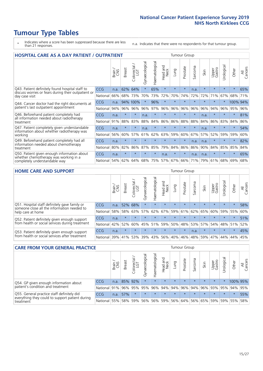- \* Indicates where a score has been suppressed because there are less than 21 responses.
- n.a. Indicates that there were no respondents for that tumour group.

| <b>HOSPITAL CARE AS A DAY PATIENT / OUTPATIENT</b><br><b>Tumour Group</b>                                             |            |       |               |                          |                |                |                                |         |          |                               |         |                 |            |          |                |
|-----------------------------------------------------------------------------------------------------------------------|------------|-------|---------------|--------------------------|----------------|----------------|--------------------------------|---------|----------|-------------------------------|---------|-----------------|------------|----------|----------------|
|                                                                                                                       |            | Brain | <b>Breast</b> | colorectal /<br>LGT<br>Ū | Gynaecological | Haematological | <b>Bad and</b><br>Neck<br>Head | Lung    | Prostate | arcoma<br>$\overline{\Omega}$ | Skin    | Upper<br>Gastro | Urological | Other    | All<br>Cancers |
| Q43. Patient definitely found hospital staff to                                                                       | <b>CCG</b> | n.a.  | 62%           | 64%                      | $\star$        | 65%            | $\star$                        | $\star$ | $\star$  | n.a.                          | $\star$ | $\star$         | $\star$    | $\star$  | 65%            |
| discuss worries or fears during their outpatient or<br>day case visit                                                 | National   | 66%   | 68%           | 73%                      | 70%            | 73%            | 72%                            | 70%     | 74%      | 72%                           | 72%     | 71%             | 67%        | 68%      | 71%            |
| Q44. Cancer doctor had the right documents at<br>patient's last outpatient appointment                                | CCG        | n.a.  | 94%           | 100%                     | $\star$        | 96%            | $\star$                        | $\star$ | $\star$  | $\star$                       | $\star$ | $\star$         | $\star$    | 100% 94% |                |
|                                                                                                                       | National   | 94%   | 96%           | 96%                      | 96%            | 97%            | 96%                            | 96%     | 96%      | 96%                           | 96%     | 94%             | 96%        | 95%      | 96%            |
| Q46. Beforehand patient completely had                                                                                | <b>CCG</b> | n.a.  | $\star$       | $\star$                  | n.a.           | $\star$        | $\star$                        | $\star$ | $\star$  | $\star$                       | n.a.    | $\star$         |            | $\star$  | 81%            |
| all information needed about radiotherapy<br>treatment                                                                | National   | 91%   | 88%           | 83%                      | 88%            | 84%            | 86%                            | 86%     | 88%      | 88%                           | 84%     | 86%             | 83%        | 84%      | 86%            |
| Q47. Patient completely given understandable<br>information about whether radiotherapy was                            | <b>CCG</b> | n.a.  | $\star$       | $\star$                  | n.a.           | $\star$        | $\star$                        | $\star$ | $\star$  | $\star$                       | n.a.    | $\star$         | $\star$    | $\star$  | 54%            |
| working                                                                                                               | National   | 56%   | 60%           | 57%                      | 61%            | 62%            | 63%                            | 59%     | 60%      | 67%                           | 57%     | 52%             | 59%        | 59%      | 60%            |
| Q49. Beforehand patient completely had all                                                                            | <b>CCG</b> | n.a.  | $\star$       | $\star$                  | $\star$        | $\star$        | $\star$                        | $\star$ | $\star$  | n.a.                          | n.a.    | $\star$         | $\star$    | $\ast$   | 82%            |
| information needed about chemotherapy<br>treatment                                                                    | National   | 80%   | 82%           | 86%                      | 87%            | 85%            | 79%                            | 84%     | 86%      | 86%                           | 90%     | 84%             | 85%        | 85%      | 84%            |
| Q50. Patient given enough information about<br>whether chemotherapy was working in a<br>completely understandable way | <b>CCG</b> | n.a.  | $\ast$        | $\star$                  |                | $\star$        | n.a.                           | $\star$ | $\star$  | n.a.                          | n.a.    | $\star$         | $\star$    | $\star$  | 65%            |
|                                                                                                                       | National   | 54%   | 62%           | 64%                      | 68%            | 75%            |                                | 57% 67% | 66%      | 71%                           | 79%     | 61%             | 68%        | 69%      | 68%            |

#### **HOME CARE AND SUPPORT** Tumour Group

|                                                                                                                   |            | Brain | <b>Breast</b> | olorectal<br>LGT<br>Ũ | ᢛ<br>Gynaecologic | Haematological | ad and<br>Neck<br>Head | <b>Dung</b> | Prostate | Sarcoma | Skin    | Upper<br>Gastro | Irological | Other   | All<br>Cancers |
|-------------------------------------------------------------------------------------------------------------------|------------|-------|---------------|-----------------------|-------------------|----------------|------------------------|-------------|----------|---------|---------|-----------------|------------|---------|----------------|
| Q51. Hospital staff definitely gave family or<br>someone close all the information needed to<br>help care at home | <b>CCG</b> | n.a.  | 52%           | 68%                   | $\star$           | $\star$        | $\star$                | $\star$     | $\star$  | $\star$ | $\star$ | $\star$         | $\star$    | $\star$ | 58%            |
|                                                                                                                   | National   | 58%   | 58%           | 63%                   | 57%               |                | 62% 67%                |             | 59% 61%  |         | 62% 65% | 60%             | 59% 55%    |         | 60%            |
| Q52. Patient definitely given enough support<br>from health or social services during treatment                   | <b>CCG</b> | n.a.  | $\star$       | $\star$               | $\star$           | $\star$        | $\star$                | $\star$     | $\star$  | $\star$ | $\star$ | $\star$         | $\star$    | $\star$ | 51%            |
|                                                                                                                   | National   | 42%   | 52%           | 60%                   |                   | 45% 51%        | 59%                    | 50%         | 48%      |         | 53% 57% | 54%             | 48% 51%    |         | 52%            |
| Q53. Patient definitely given enough support<br>from health or social services after treatment                    | CCG        | n.a.  |               | $\star$               | $\star$           |                | $\star$                | $\star$     | $\star$  | n.a.    | $\star$ | $\star$         | $\star$    | $\star$ | 45%            |
|                                                                                                                   | National   | 139%  |               | 41% 53%               | 39%               | 43%            | 56%                    | 40%         | 46%      |         | 48% 59% | 47%             | 44%        | 44%     | 45%            |

| <b>CARE FROM YOUR GENERAL PRACTICE</b>                                                                     |              |        |               |                   |                |                |                  |         | Tumour Group |         |         |                 |           |                                         |                |  |  |  |  |  |
|------------------------------------------------------------------------------------------------------------|--------------|--------|---------------|-------------------|----------------|----------------|------------------|---------|--------------|---------|---------|-----------------|-----------|-----------------------------------------|----------------|--|--|--|--|--|
|                                                                                                            |              | Brain, | <b>Breast</b> | Colorectal<br>LGT | Gynaecological | Haematological | Head and<br>Neck | Lung    | Prostate     | Sarcoma | Skin    | Upper<br>Gastro | Urologica | Other                                   | All<br>Cancers |  |  |  |  |  |
| Q54. GP given enough information about<br>patient's condition and treatment                                | CCG          | n.a.   |               | 85% 92%           | $\star$        | $\star$        | $\star$          | $\star$ | $\star$      | $\star$ | $\star$ | $\star$         | $\star$   | 100% 95%                                |                |  |  |  |  |  |
|                                                                                                            | National 91% |        |               | 96% 95%           | 95%            |                |                  |         |              |         |         |                 |           | 96% 94% 94% 96% 94% 96% 93% 95% 94% 95% |                |  |  |  |  |  |
| Q55. General practice staff definitely did<br>everything they could to support patient during<br>treatment | CCG          | n.a.   | 57%           | $\star$           | $\star$        | $\star$        | $\star$          | $\star$ | $\star$      | $\star$ | $\star$ | $\star$         | $\star$   | $\star$                                 | 55%            |  |  |  |  |  |
|                                                                                                            | National     | 55%    |               | 58% 59%           | 56%            |                | 56% 59%          |         |              |         |         |                 |           | 56% 64% 56% 65% 59% 59% 55%             | 58%            |  |  |  |  |  |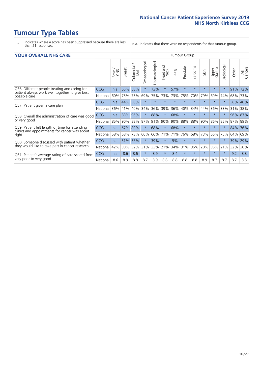- \* Indicates where a score has been suppressed because there are less than 21 responses.
- n.a. Indicates that there were no respondents for that tumour group.

#### **YOUR OVERALL NHS CARE** THE CONSTRUCTION OF THE THROUP GROUP TUMOUR GROUP

| UN V V LIVALL IVI 19 GAINL                                                                      |            |       |               |                             |                |                |                         |         |          |                      |         |                 |                |         |                |  |  |  |  |  |
|-------------------------------------------------------------------------------------------------|------------|-------|---------------|-----------------------------|----------------|----------------|-------------------------|---------|----------|----------------------|---------|-----------------|----------------|---------|----------------|--|--|--|--|--|
|                                                                                                 |            | Brain | <b>Breast</b> | olorectal.<br>LGT<br>$\cup$ | Gynaecological | Haematological | aad and<br>Neck<br>Head | Lung    | Prostate | arcoma<br>$\sqrt{ }$ | Skin    | Upper<br>Gastro | लु<br>Urologia | Other   | All<br>Cancers |  |  |  |  |  |
| Q56. Different people treating and caring for                                                   | <b>CCG</b> | n.a.  | 65%           | 58%                         |                | 73%            | $\star$                 | 57%     | $\star$  | $\star$              | $\star$ | $\star$         | $\star$        | 91%     | 72%            |  |  |  |  |  |
| patient always work well together to give best<br>possible care                                 | National   | 60%   | 73%           | 73%                         | 69%            | 75%            | 73%                     | 73%     | 75%      | 70%                  | 79%     | 69%             | 74%            | 68%     | 73%            |  |  |  |  |  |
| Q57. Patient given a care plan                                                                  | <b>CCG</b> | n.a.  | 44%           | 38%                         | $\star$        |                | $\star$                 | $\star$ | $\star$  | $\star$              | $\star$ | $\star$         |                | 38% 40% |                |  |  |  |  |  |
|                                                                                                 | National   | 36%   | 41%           | 40%                         | 34%            | 36%            | 39%                     | 36%     | 40%      | 34%                  | 44%     | 36%             | 33%            | 31%     | 38%            |  |  |  |  |  |
| Q58. Overall the administration of care was good<br>or very good                                | <b>CCG</b> | n.a.  | 83%           | 96%                         |                | 88%            | $\ast$                  | 68%     | $\star$  | $\star$              | $\star$ |                 |                | 96%     | 87%            |  |  |  |  |  |
|                                                                                                 | National   | 85%   | 90%           | 88%                         | 87%            | 91%            | 90%                     | 90%     | 88%      | 88%                  | 90%     | 86%             | 85%            | 87%     | 89%            |  |  |  |  |  |
| Q59. Patient felt length of time for attending<br>clinics and appointments for cancer was about | CCG        | n.a.  | 67%           | 80%                         |                | 68%            | $\ast$                  | 68%     | $\star$  | $\star$              | $\star$ | $\star$         | $\star$        | 84% 76% |                |  |  |  |  |  |
| right                                                                                           | National   | 58%   | 68%           | 73%                         | 66%            | 66%            | 71%                     | 71%     | 76%      | 68%                  | 73%     | 66%             | 75%            | 64%     | 69%            |  |  |  |  |  |
| Q60. Someone discussed with patient whether                                                     | <b>CCG</b> | n.a.  | 31%           | 35%                         |                | 39%            | $\ast$                  | 5%      | $\star$  | $\star$              | $\star$ | $\star$         |                | 39%     | 29%            |  |  |  |  |  |
| they would like to take part in cancer research                                                 | National   | 42%   | 30%           | 32%                         | 31%            |                | 33% 21%                 | 34%     | 31%      | 36%                  | 20%     | 36%             | 21%            | 32%     | 30%            |  |  |  |  |  |
| Q61. Patient's average rating of care scored from<br>very poor to very good                     | <b>CCG</b> | n.a.  | 8.6           | 8.6                         | $\star$        | 8.9            | $\ast$                  | 8.4     | $\star$  | $\star$              | $\star$ | $\star$         | $\star$        | 9.2     | 8.8            |  |  |  |  |  |
|                                                                                                 | National   | 8.6   | 8.9           | 8.8                         | 8.7            | 8.9            | 8.8                     | 8.8     | 8.8      | 8.8                  | 8.9     | 8.7             | 8.7            | 8.7     | 8.8            |  |  |  |  |  |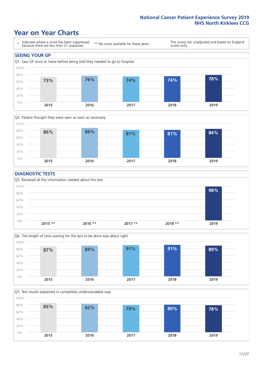### **Year on Year Charts**





#### **DIAGNOSTIC TESTS**





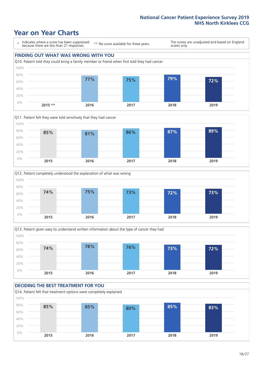







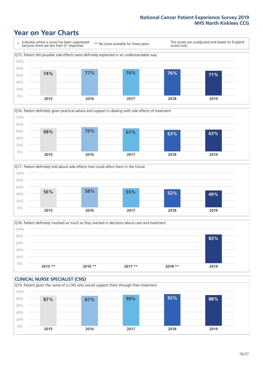





Q18. Patient definitely involved as much as they wanted in decisions about care and treatment  $0%$ 20% 40% 60% 80% 100% **2015 \*\* 2016 \*\* 2017 \*\* 2018 \*\* 2019 83%**

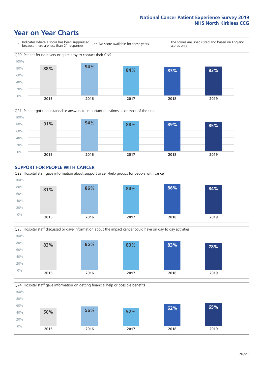







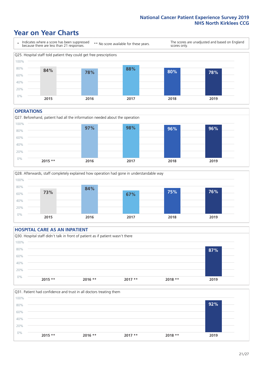### **Year on Year Charts**



#### **OPERATIONS**





### **HOSPITAL CARE AS AN INPATIENT** Q30. Hospital staff didn't talk in front of patient as if patient wasn't there 0% 20% 40% 60% 80% 100% **2015 \*\* 2016 \*\* 2017 \*\* 2018 \*\* 2019 87%**

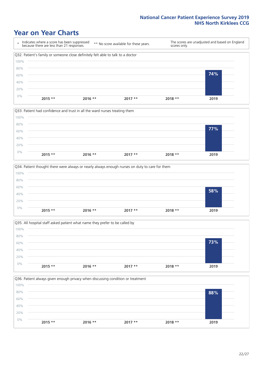







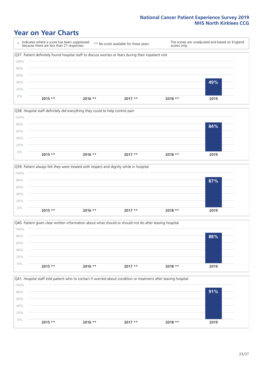### **Year on Year Charts**

\* Indicates where a score has been suppressed because there are less than 21 responses. \*\* No score available for these years. The scores are unadjusted and based on England scores only. Q37. Patient definitely found hospital staff to discuss worries or fears during their inpatient visit 0% 20% 40% 60% 80% 100% **2015 \*\* 2016 \*\* 2017 \*\* 2018 \*\* 2019 49%**







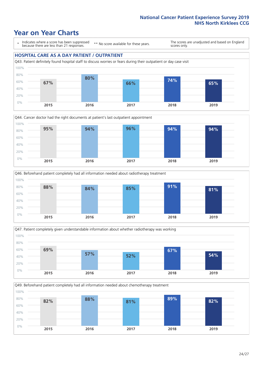### **Year on Year Charts**

\* Indicates where a score has been suppressed because there are less than 21 responses.

\*\* No score available for these years.

The scores are unadjusted and based on England scores only.

#### **HOSPITAL CARE AS A DAY PATIENT / OUTPATIENT**









Q49. Beforehand patient completely had all information needed about chemotherapy treatment 100%

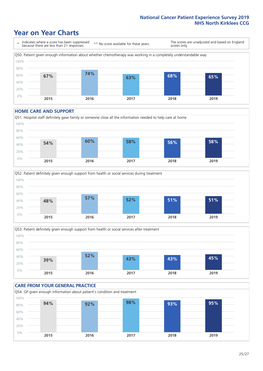### **Year on Year Charts**

\* Indicates where a score has been suppressed because there are less than 21 responses. \*\* No score available for these years. The scores are unadjusted and based on England scores only. Q50. Patient given enough information about whether chemotherapy was working in a completely understandable way 0% 20% 40% 60% 80% 100% **2015 2016 2017 2018 2019 67% 74% 63% 68% 65%**

#### **HOME CARE AND SUPPORT**







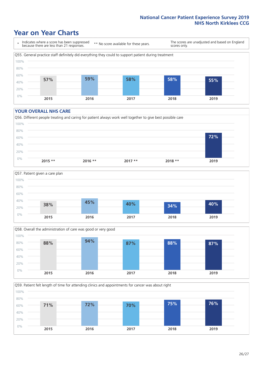### **Year on Year Charts**

\* Indicates where a score has been suppressed because there are less than 21 responses.

\*\* No score available for these years.

The scores are unadjusted and based on England scores only.



#### **YOUR OVERALL NHS CARE**







Q59. Patient felt length of time for attending clinics and appointments for cancer was about right